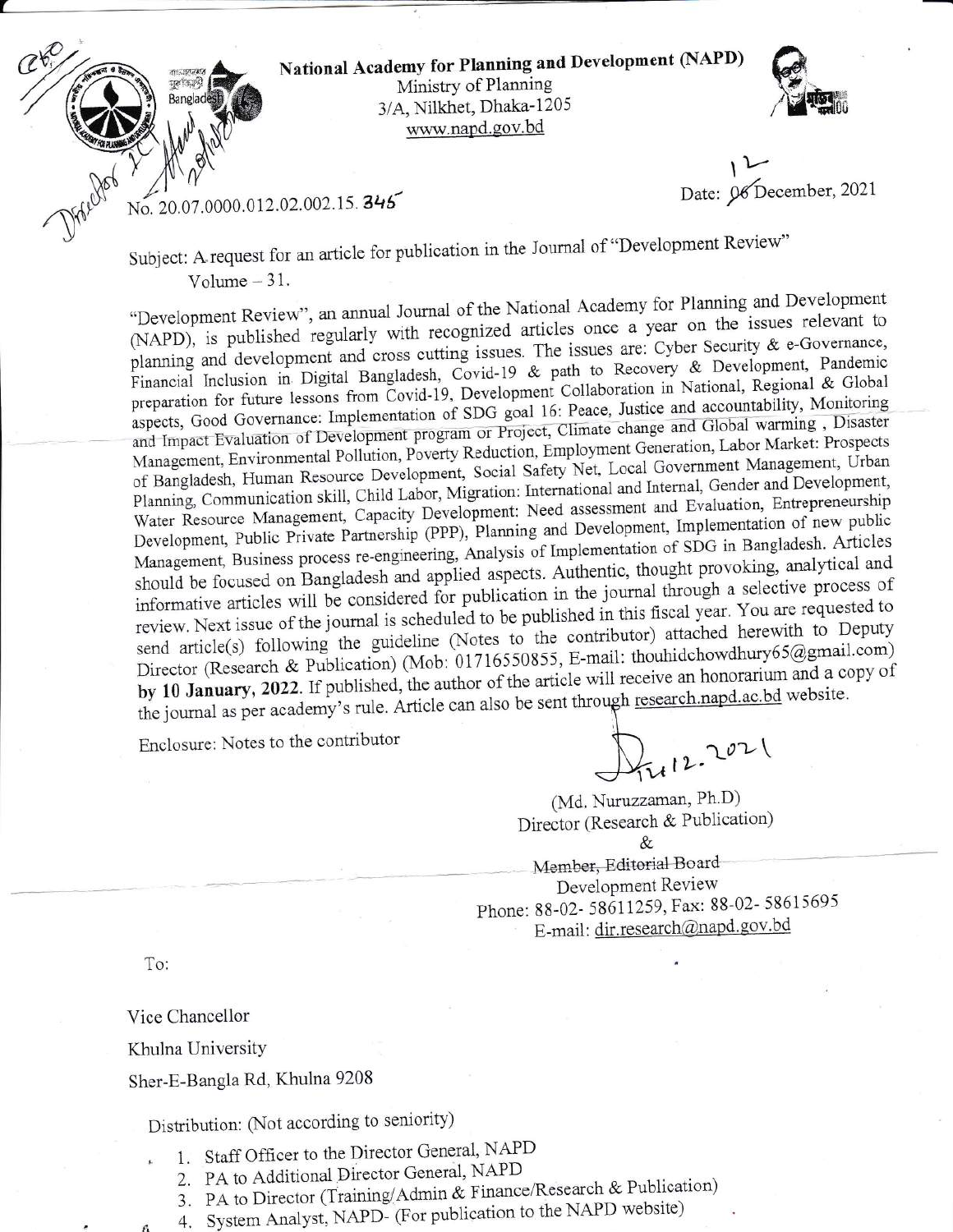

National Academy for Planning and Development (NAPD) Ministry of Planning 3/A, Nilkhet, Dhaka-1205 www.napd.gov.bd



Date: 06 December, 2021

No. 20.07.0000.012.02.002.15. 345

Subject: A request for an article for publication in the Journal of "Development Review"

Volume  $-31$ .

"Development Review", an annual Journal of the National Academy for Planning and Development (NAPD), is published regularly with recognized articles once a year on the issues relevant to planning and development and cross cutting issues. The issues are: Cyber Security & e-Governance, Financial Inclusion in Digital Bangladesh, Covid-19 & path to Recovery & Development, Pandemic preparation for future lessons from Covid-19, Development Collaboration in National, Regional & Global aspects, Good Governance: Implementation of SDG goal 16: Peace, Justice and accountability, Monitoring and Impact Evaluation of Development program or Project, Climate change and Global warming, Disaster Management, Environmental Pollution, Poverty Reduction, Employment Generation, Labor Market: Prospects of Bangladesh, Human Resource Development, Social Safety Net, Local Government Management, Urban Planning, Communication skill, Child Labor, Migration: International and Internal, Gender and Development, Water Resource Management, Capacity Development: Need assessment and Evaluation, Entrepreneurship Development, Public Private Partnership (PPP), Planning and Development, Implementation of new public Management, Business process re-engineering, Analysis of Implementation of SDG in Bangladesh. Articles should be focused on Bangladesh and applied aspects. Authentic, thought provoking, analytical and informative articles will be considered for publication in the journal through a selective process of review. Next issue of the journal is scheduled to be published in this fiscal year. You are requested to send article(s) following the guideline (Notes to the contributor) attached herewith to Deputy Director (Research & Publication) (Mob: 01716550855, E-mail: thouhidchowdhury65@gmail.com) by 10 January, 2022. If published, the author of the article will receive an honorarium and a copy of the journal as per academy's rule. Article can also be sent through research.napd.ac.bd website.

Enclosure: Notes to the contributor

 $412.2021$ 

(Md. Nuruzzaman, Ph.D) Director (Research & Publication) &

Member, Editorial Board Development Review Phone: 88-02-58611259, Fax: 88-02-58615695 E-mail: dir.research@napd.gov.bd

To:

Vice Chancellor

Khulna University

Sher-E-Bangla Rd, Khulna 9208

Distribution: (Not according to seniority)

- 1. Staff Officer to the Director General, NAPD
- 2. PA to Additional Director General, NAPD
- 3. PA to Director (Training/Admin & Finance/Research & Publication)
- 4. System Analyst, NAPD- (For publication to the NAPD website)
-